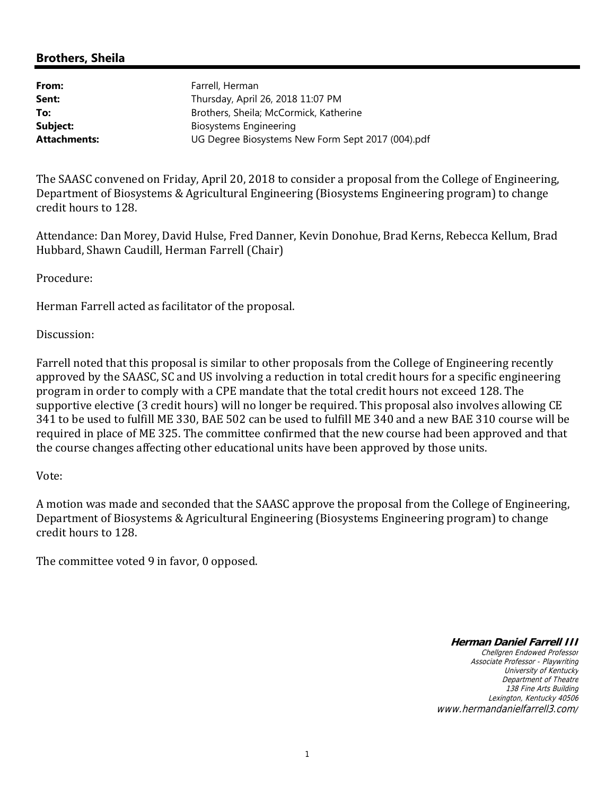## **Brothers, Sheila**

| From:               | Farrell, Herman                                   |
|---------------------|---------------------------------------------------|
| Sent:               | Thursday, April 26, 2018 11:07 PM                 |
| To:                 | Brothers, Sheila; McCormick, Katherine            |
| Subject:            | Biosystems Engineering                            |
| <b>Attachments:</b> | UG Degree Biosystems New Form Sept 2017 (004).pdf |
|                     |                                                   |

The SAASC convened on Friday, April 20, 2018 to consider a proposal from the College of Engineering, Department of Biosystems & Agricultural Engineering (Biosystems Engineering program) to change credit hours to 128.

Attendance: Dan Morey, David Hulse, Fred Danner, Kevin Donohue, Brad Kerns, Rebecca Kellum, Brad Hubbard, Shawn Caudill, Herman Farrell (Chair)

Procedure: 

Herman Farrell acted as facilitator of the proposal.

Discussion: 

Farrell noted that this proposal is similar to other proposals from the College of Engineering recently approved by the SAASC, SC and US involving a reduction in total credit hours for a specific engineering program in order to comply with a CPE mandate that the total credit hours not exceed 128. The supportive elective (3 credit hours) will no longer be required. This proposal also involves allowing CE 341 to be used to fulfill ME 330, BAE 502 can be used to fulfill ME 340 and a new BAE 310 course will be required in place of ME 325. The committee confirmed that the new course had been approved and that the course changes affecting other educational units have been approved by those units.

## Vote:

A motion was made and seconded that the SAASC approve the proposal from the College of Engineering, Department of Biosystems & Agricultural Engineering (Biosystems Engineering program) to change credit hours to 128.

The committee voted 9 in favor, 0 opposed.

**Herman Daniel Farrell III**

Chellgren Endowed Professor Associate Professor - Playwriting University of Kentucky Department of Theatre 138 Fine Arts Building Lexington, Kentucky 40506 www.hermandanielfarrell3.com/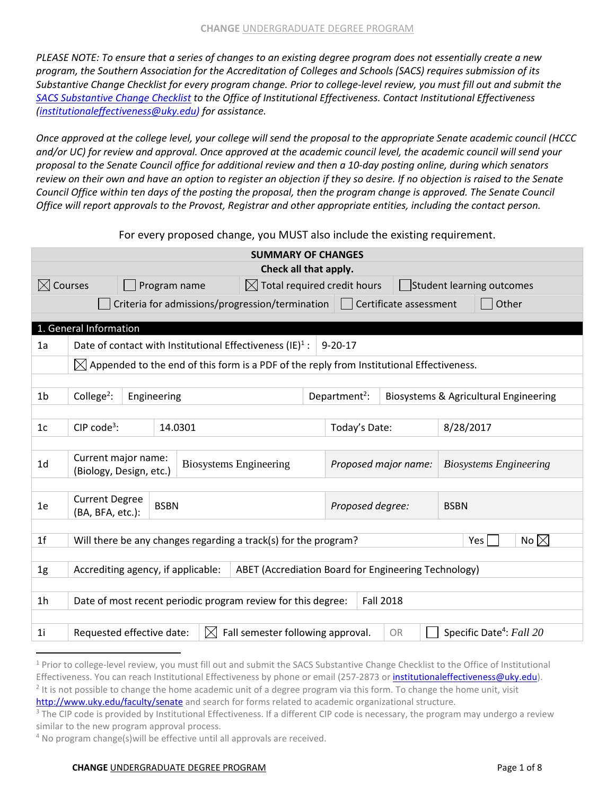*PLEASE NOTE: To ensure that a series of changes to an existing degree program does not essentially create a new program, the Southern Association for the Accreditation of Colleges and Schools (SACS) requires submission of its Substantive Change Checklist for every program change. Prior to college-level review, you must fill out and submit the [SACS Substantive Change Checklist](http://www.uky.edu/ie/sites/www.uky.edu.ie/files/uploads/SACSCOC_SubChange%20Checklist%20%288%29.doc) to the Office of Institutional Effectiveness. Contact Institutional Effectiveness [\(institutionaleffectiveness@uky.edu\)](mailto:institutionaleffectiveness@uky.edu?subject=Question%20RE%20Change%20Undergraduate%20Program%20Form) for assistance.*

*Once approved at the college level, your college will send the proposal to the appropriate Senate academic council (HCCC and/or UC) for review and approval. Once approved at the academic council level, the academic council will send your proposal to the Senate Council office for additional review and then a 10-day posting online, during which senators review on their own and have an option to register an objection if they so desire. If no objection is raised to the Senate Council Office within ten days of the posting the proposal, then the program change is approved. The Senate Council Office will report approvals to the Provost, Registrar and other appropriate entities, including the contact person.*

For every proposed change, you MUST also include the existing requirement.

| <b>SUMMARY OF CHANGES</b> |                                                                                    |              |                               |                                                                                                      |  |                                 |                      |  |                                       |  |  |
|---------------------------|------------------------------------------------------------------------------------|--------------|-------------------------------|------------------------------------------------------------------------------------------------------|--|---------------------------------|----------------------|--|---------------------------------------|--|--|
| Check all that apply.     |                                                                                    |              |                               |                                                                                                      |  |                                 |                      |  |                                       |  |  |
| $\boxtimes$ Courses       |                                                                                    | Program name |                               | $\boxtimes$ Total required credit hours                                                              |  |                                 |                      |  | Student learning outcomes             |  |  |
|                           | Criteria for admissions/progression/termination<br>Certificate assessment<br>Other |              |                               |                                                                                                      |  |                                 |                      |  |                                       |  |  |
|                           |                                                                                    |              |                               |                                                                                                      |  |                                 |                      |  |                                       |  |  |
|                           | 1. General Information                                                             |              |                               |                                                                                                      |  |                                 |                      |  |                                       |  |  |
| 1a                        |                                                                                    |              |                               | Date of contact with Institutional Effectiveness $(IE)^1$ :                                          |  | $9 - 20 - 17$                   |                      |  |                                       |  |  |
|                           |                                                                                    |              |                               | $\boxtimes$ Appended to the end of this form is a PDF of the reply from Institutional Effectiveness. |  |                                 |                      |  |                                       |  |  |
|                           |                                                                                    |              |                               |                                                                                                      |  |                                 |                      |  |                                       |  |  |
| 1 <sub>b</sub>            | College <sup>2</sup> :                                                             | Engineering  |                               |                                                                                                      |  | Department <sup>2</sup> :       |                      |  | Biosystems & Agricultural Engineering |  |  |
|                           |                                                                                    |              |                               |                                                                                                      |  |                                 |                      |  |                                       |  |  |
| 1 <sub>c</sub>            | CIP code <sup>3</sup> :                                                            | 14.0301      |                               |                                                                                                      |  | Today's Date:<br>8/28/2017      |                      |  |                                       |  |  |
|                           |                                                                                    |              |                               |                                                                                                      |  |                                 |                      |  |                                       |  |  |
| 1 <sub>d</sub>            | Current major name:<br>(Biology, Design, etc.)                                     |              | <b>Biosystems Engineering</b> |                                                                                                      |  |                                 | Proposed major name: |  | <b>Biosystems Engineering</b>         |  |  |
|                           |                                                                                    |              |                               |                                                                                                      |  |                                 |                      |  |                                       |  |  |
| 1e                        | <b>Current Degree</b><br>(BA, BFA, etc.):                                          | <b>BSBN</b>  |                               |                                                                                                      |  | Proposed degree:<br><b>BSBN</b> |                      |  |                                       |  |  |
|                           |                                                                                    |              |                               |                                                                                                      |  |                                 |                      |  |                                       |  |  |
| 1 <sub>f</sub>            |                                                                                    |              |                               | Will there be any changes regarding a track(s) for the program?                                      |  |                                 |                      |  | No $\boxtimes$<br>Yes                 |  |  |
|                           |                                                                                    |              |                               |                                                                                                      |  |                                 |                      |  |                                       |  |  |
| 1 <sub>g</sub>            | Accrediting agency, if applicable:                                                 |              |                               | ABET (Accrediation Board for Engineering Technology)                                                 |  |                                 |                      |  |                                       |  |  |
|                           |                                                                                    |              |                               |                                                                                                      |  |                                 |                      |  |                                       |  |  |
| 1 <sub>h</sub>            |                                                                                    |              |                               | Date of most recent periodic program review for this degree:                                         |  |                                 | <b>Fall 2018</b>     |  |                                       |  |  |
|                           |                                                                                    |              |                               |                                                                                                      |  |                                 |                      |  |                                       |  |  |
| 1 <sub>i</sub>            | Requested effective date:                                                          |              | $\bowtie$                     | Fall semester following approval.                                                                    |  |                                 | <b>OR</b>            |  | Specific Date <sup>4</sup> : Fall 20  |  |  |
|                           |                                                                                    |              |                               |                                                                                                      |  |                                 |                      |  |                                       |  |  |

## **CHANGE** UNDERGRADUATE DEGREE PROGRAM **EXAMPLE 2008 PAGE 1 OF 8 PAGE 1 OF 8**

<sup>&</sup>lt;sup>1</sup> Prior to college-level review, you must fill out and submit the SACS Substantive Change Checklist to the Office of Institutional Effectiveness. You can reach Institutional Effectiveness by phone or email (257-2873 or *institutionaleffectiveness@uky.edu*). <sup>2</sup> It is not possible to change the home academic unit of a degree program via this form. To change the home unit, visit

<http://www.uky.edu/faculty/senate> and search for forms related to academic organizational structure.

<sup>&</sup>lt;sup>3</sup> The CIP code is provided by Institutional Effectiveness. If a different CIP code is necessary, the program may undergo a review similar to the new program approval process.

<sup>&</sup>lt;sup>4</sup> No program change(s) will be effective until all approvals are received.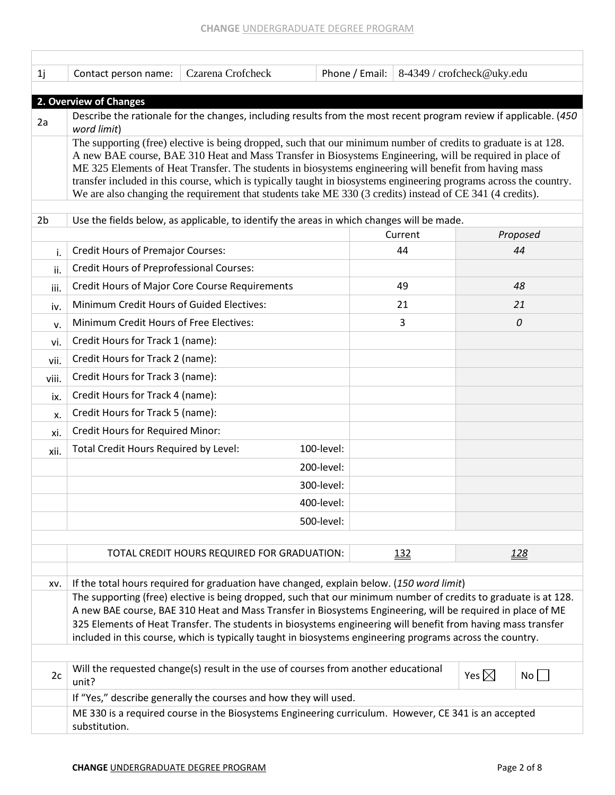| 1j             | Contact person name:                                                                                                                                                                                                                                                                                                                                                                                                                                                                                                                                                     | Czarena Crofcheck                                                                                                 |            | Phone / Email: | 8-4349 / crofcheck@uky.edu |                 |          |  |  |  |
|----------------|--------------------------------------------------------------------------------------------------------------------------------------------------------------------------------------------------------------------------------------------------------------------------------------------------------------------------------------------------------------------------------------------------------------------------------------------------------------------------------------------------------------------------------------------------------------------------|-------------------------------------------------------------------------------------------------------------------|------------|----------------|----------------------------|-----------------|----------|--|--|--|
|                | 2. Overview of Changes                                                                                                                                                                                                                                                                                                                                                                                                                                                                                                                                                   |                                                                                                                   |            |                |                            |                 |          |  |  |  |
| 2a             | word limit)                                                                                                                                                                                                                                                                                                                                                                                                                                                                                                                                                              | Describe the rationale for the changes, including results from the most recent program review if applicable. (450 |            |                |                            |                 |          |  |  |  |
|                | The supporting (free) elective is being dropped, such that our minimum number of credits to graduate is at 128.<br>A new BAE course, BAE 310 Heat and Mass Transfer in Biosystems Engineering, will be required in place of<br>ME 325 Elements of Heat Transfer. The students in biosystems engineering will benefit from having mass<br>transfer included in this course, which is typically taught in biosystems engineering programs across the country.<br>We are also changing the requirement that students take ME 330 (3 credits) instead of CE 341 (4 credits). |                                                                                                                   |            |                |                            |                 |          |  |  |  |
| 2 <sub>b</sub> |                                                                                                                                                                                                                                                                                                                                                                                                                                                                                                                                                                          | Use the fields below, as applicable, to identify the areas in which changes will be made.                         |            |                |                            |                 |          |  |  |  |
|                |                                                                                                                                                                                                                                                                                                                                                                                                                                                                                                                                                                          |                                                                                                                   |            |                | Current                    |                 | Proposed |  |  |  |
| i.             | <b>Credit Hours of Premajor Courses:</b>                                                                                                                                                                                                                                                                                                                                                                                                                                                                                                                                 |                                                                                                                   |            |                | 44                         |                 | 44       |  |  |  |
| ii.            | <b>Credit Hours of Preprofessional Courses:</b>                                                                                                                                                                                                                                                                                                                                                                                                                                                                                                                          |                                                                                                                   |            |                |                            |                 |          |  |  |  |
| iii.           |                                                                                                                                                                                                                                                                                                                                                                                                                                                                                                                                                                          | <b>Credit Hours of Major Core Course Requirements</b>                                                             |            |                | 49                         |                 | 48       |  |  |  |
| iv.            | Minimum Credit Hours of Guided Electives:                                                                                                                                                                                                                                                                                                                                                                                                                                                                                                                                |                                                                                                                   |            |                | 21                         |                 | 21       |  |  |  |
| v.             | Minimum Credit Hours of Free Electives:                                                                                                                                                                                                                                                                                                                                                                                                                                                                                                                                  |                                                                                                                   |            |                | 3                          |                 | 0        |  |  |  |
| vi.            | Credit Hours for Track 1 (name):                                                                                                                                                                                                                                                                                                                                                                                                                                                                                                                                         |                                                                                                                   |            |                |                            |                 |          |  |  |  |
| vii.           | Credit Hours for Track 2 (name):                                                                                                                                                                                                                                                                                                                                                                                                                                                                                                                                         |                                                                                                                   |            |                |                            |                 |          |  |  |  |
| viii.          | Credit Hours for Track 3 (name):                                                                                                                                                                                                                                                                                                                                                                                                                                                                                                                                         |                                                                                                                   |            |                |                            |                 |          |  |  |  |
| ix.            | Credit Hours for Track 4 (name):                                                                                                                                                                                                                                                                                                                                                                                                                                                                                                                                         |                                                                                                                   |            |                |                            |                 |          |  |  |  |
| x.             | Credit Hours for Track 5 (name):                                                                                                                                                                                                                                                                                                                                                                                                                                                                                                                                         |                                                                                                                   |            |                |                            |                 |          |  |  |  |
| xi.            | Credit Hours for Required Minor:                                                                                                                                                                                                                                                                                                                                                                                                                                                                                                                                         |                                                                                                                   |            |                |                            |                 |          |  |  |  |
| xii.           | Total Credit Hours Required by Level:                                                                                                                                                                                                                                                                                                                                                                                                                                                                                                                                    |                                                                                                                   | 100-level: |                |                            |                 |          |  |  |  |
|                |                                                                                                                                                                                                                                                                                                                                                                                                                                                                                                                                                                          |                                                                                                                   | 200-level: |                |                            |                 |          |  |  |  |
|                |                                                                                                                                                                                                                                                                                                                                                                                                                                                                                                                                                                          |                                                                                                                   | 300-level: |                |                            |                 |          |  |  |  |
|                |                                                                                                                                                                                                                                                                                                                                                                                                                                                                                                                                                                          |                                                                                                                   | 400-level: |                |                            |                 |          |  |  |  |
|                |                                                                                                                                                                                                                                                                                                                                                                                                                                                                                                                                                                          |                                                                                                                   | 500-level: |                |                            |                 |          |  |  |  |
|                |                                                                                                                                                                                                                                                                                                                                                                                                                                                                                                                                                                          |                                                                                                                   |            |                |                            |                 |          |  |  |  |
|                |                                                                                                                                                                                                                                                                                                                                                                                                                                                                                                                                                                          | TOTAL CREDIT HOURS REQUIRED FOR GRADUATION:                                                                       |            |                | <u>132</u>                 |                 | 128      |  |  |  |
| XV.            |                                                                                                                                                                                                                                                                                                                                                                                                                                                                                                                                                                          | If the total hours required for graduation have changed, explain below. (150 word limit)                          |            |                |                            |                 |          |  |  |  |
|                | The supporting (free) elective is being dropped, such that our minimum number of credits to graduate is at 128.<br>A new BAE course, BAE 310 Heat and Mass Transfer in Biosystems Engineering, will be required in place of ME<br>325 Elements of Heat Transfer. The students in biosystems engineering will benefit from having mass transfer<br>included in this course, which is typically taught in biosystems engineering programs across the country.                                                                                                              |                                                                                                                   |            |                |                            |                 |          |  |  |  |
| 2c             | unit?                                                                                                                                                                                                                                                                                                                                                                                                                                                                                                                                                                    | Will the requested change(s) result in the use of courses from another educational                                |            |                |                            | Yes $\boxtimes$ | No       |  |  |  |
|                |                                                                                                                                                                                                                                                                                                                                                                                                                                                                                                                                                                          | If "Yes," describe generally the courses and how they will used.                                                  |            |                |                            |                 |          |  |  |  |
|                | ME 330 is a required course in the Biosystems Engineering curriculum. However, CE 341 is an accepted<br>substitution.                                                                                                                                                                                                                                                                                                                                                                                                                                                    |                                                                                                                   |            |                |                            |                 |          |  |  |  |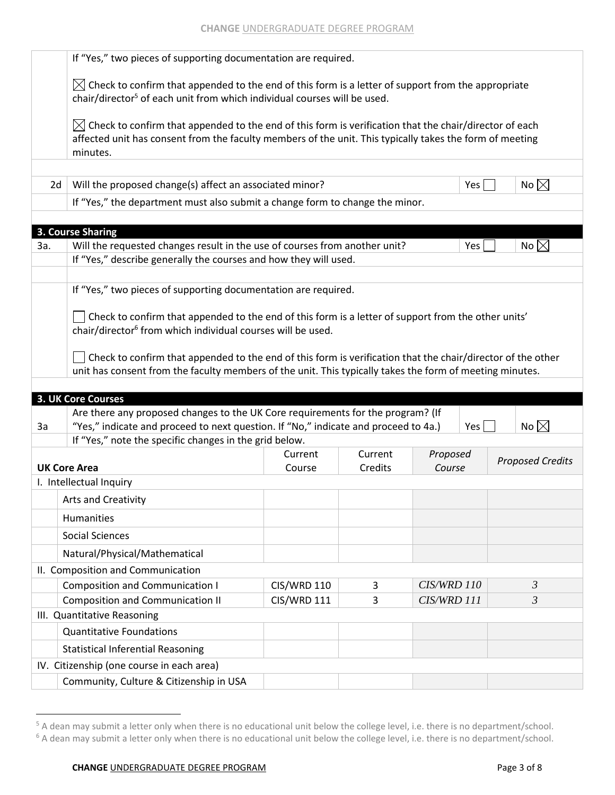|     | If "Yes," two pieces of supporting documentation are required.                                                                                                                                                                             |                    |         |             |     |                         |  |  |  |  |  |  |
|-----|--------------------------------------------------------------------------------------------------------------------------------------------------------------------------------------------------------------------------------------------|--------------------|---------|-------------|-----|-------------------------|--|--|--|--|--|--|
|     | $\boxtimes$ Check to confirm that appended to the end of this form is a letter of support from the appropriate<br>chair/director <sup>5</sup> of each unit from which individual courses will be used.                                     |                    |         |             |     |                         |  |  |  |  |  |  |
|     | $\boxtimes$ Check to confirm that appended to the end of this form is verification that the chair/director of each<br>affected unit has consent from the faculty members of the unit. This typically takes the form of meeting<br>minutes. |                    |         |             |     |                         |  |  |  |  |  |  |
|     | No $\boxtimes$<br>Will the proposed change(s) affect an associated minor?<br>Yes  <br>2d                                                                                                                                                   |                    |         |             |     |                         |  |  |  |  |  |  |
|     | If "Yes," the department must also submit a change form to change the minor.                                                                                                                                                               |                    |         |             |     |                         |  |  |  |  |  |  |
|     |                                                                                                                                                                                                                                            |                    |         |             |     |                         |  |  |  |  |  |  |
|     | 3. Course Sharing                                                                                                                                                                                                                          |                    |         |             |     |                         |  |  |  |  |  |  |
| За. | Will the requested changes result in the use of courses from another unit?                                                                                                                                                                 |                    |         |             | Yes | No $\boxtimes$          |  |  |  |  |  |  |
|     | If "Yes," describe generally the courses and how they will used.                                                                                                                                                                           |                    |         |             |     |                         |  |  |  |  |  |  |
|     | If "Yes," two pieces of supporting documentation are required.                                                                                                                                                                             |                    |         |             |     |                         |  |  |  |  |  |  |
|     |                                                                                                                                                                                                                                            |                    |         |             |     |                         |  |  |  |  |  |  |
|     | $\Box$ Check to confirm that appended to the end of this form is a letter of support from the other units'                                                                                                                                 |                    |         |             |     |                         |  |  |  |  |  |  |
|     | chair/director <sup>6</sup> from which individual courses will be used.                                                                                                                                                                    |                    |         |             |     |                         |  |  |  |  |  |  |
|     | Check to confirm that appended to the end of this form is verification that the chair/director of the other                                                                                                                                |                    |         |             |     |                         |  |  |  |  |  |  |
|     | unit has consent from the faculty members of the unit. This typically takes the form of meeting minutes.                                                                                                                                   |                    |         |             |     |                         |  |  |  |  |  |  |
|     |                                                                                                                                                                                                                                            |                    |         |             |     |                         |  |  |  |  |  |  |
|     | <b>3. UK Core Courses</b>                                                                                                                                                                                                                  |                    |         |             |     |                         |  |  |  |  |  |  |
| 3a  | Are there any proposed changes to the UK Core requirements for the program? (If<br>"Yes," indicate and proceed to next question. If "No," indicate and proceed to 4a.)                                                                     |                    |         |             | Yes | No $\boxtimes$          |  |  |  |  |  |  |
|     | If "Yes," note the specific changes in the grid below.                                                                                                                                                                                     |                    |         |             |     |                         |  |  |  |  |  |  |
|     |                                                                                                                                                                                                                                            | Current            | Current | Proposed    |     |                         |  |  |  |  |  |  |
|     | <b>UK Core Area</b>                                                                                                                                                                                                                        | Course             | Credits | Course      |     | <b>Proposed Credits</b> |  |  |  |  |  |  |
|     | I. Intellectual Inquiry                                                                                                                                                                                                                    |                    |         |             |     |                         |  |  |  |  |  |  |
|     | Arts and Creativity                                                                                                                                                                                                                        |                    |         |             |     |                         |  |  |  |  |  |  |
|     | <b>Humanities</b>                                                                                                                                                                                                                          |                    |         |             |     |                         |  |  |  |  |  |  |
|     | <b>Social Sciences</b>                                                                                                                                                                                                                     |                    |         |             |     |                         |  |  |  |  |  |  |
|     | Natural/Physical/Mathematical                                                                                                                                                                                                              |                    |         |             |     |                         |  |  |  |  |  |  |
|     | II. Composition and Communication                                                                                                                                                                                                          |                    |         |             |     |                         |  |  |  |  |  |  |
|     | <b>Composition and Communication I</b>                                                                                                                                                                                                     | <b>CIS/WRD 110</b> | 3       | CIS/WRD 110 |     | $\mathfrak{Z}$          |  |  |  |  |  |  |
|     | <b>Composition and Communication II</b>                                                                                                                                                                                                    | <b>CIS/WRD 111</b> | 3       | CIS/WRD 111 |     | 3                       |  |  |  |  |  |  |
|     | III. Quantitative Reasoning                                                                                                                                                                                                                |                    |         |             |     |                         |  |  |  |  |  |  |
|     | <b>Quantitative Foundations</b>                                                                                                                                                                                                            |                    |         |             |     |                         |  |  |  |  |  |  |
|     | <b>Statistical Inferential Reasoning</b>                                                                                                                                                                                                   |                    |         |             |     |                         |  |  |  |  |  |  |
|     | IV. Citizenship (one course in each area)                                                                                                                                                                                                  |                    |         |             |     |                         |  |  |  |  |  |  |
|     | Community, Culture & Citizenship in USA                                                                                                                                                                                                    |                    |         |             |     |                         |  |  |  |  |  |  |
|     |                                                                                                                                                                                                                                            |                    |         |             |     |                         |  |  |  |  |  |  |

<sup>&</sup>lt;sup>5</sup> A dean may submit a letter only when there is no educational unit below the college level, i.e. there is no department/school. <sup>6</sup> A dean may submit a letter only when there is no educational unit below the college level, i.e. there is no department/school.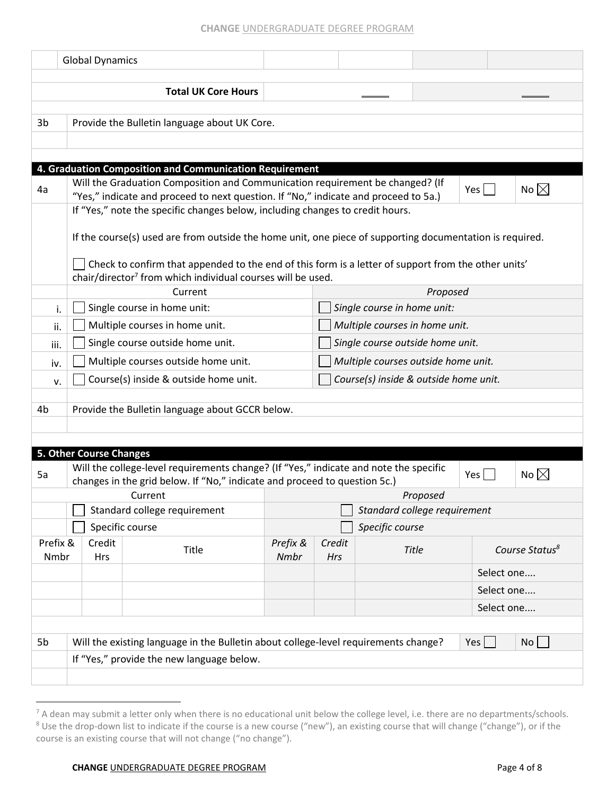## **CHANGE** UNDERGRADUATE DEGREE PROGRAM

|          | <b>Global Dynamics</b>  |                                                                                                                                                                                |          |        |                                       |          |                 |                            |
|----------|-------------------------|--------------------------------------------------------------------------------------------------------------------------------------------------------------------------------|----------|--------|---------------------------------------|----------|-----------------|----------------------------|
|          |                         |                                                                                                                                                                                |          |        |                                       |          |                 |                            |
|          |                         | <b>Total UK Core Hours</b>                                                                                                                                                     |          |        |                                       |          |                 |                            |
|          |                         |                                                                                                                                                                                |          |        |                                       |          |                 |                            |
| 3b       |                         | Provide the Bulletin language about UK Core.                                                                                                                                   |          |        |                                       |          |                 |                            |
|          |                         |                                                                                                                                                                                |          |        |                                       |          |                 |                            |
|          |                         |                                                                                                                                                                                |          |        |                                       |          |                 |                            |
|          |                         | 4. Graduation Composition and Communication Requirement                                                                                                                        |          |        |                                       |          |                 |                            |
| 4a       |                         | Will the Graduation Composition and Communication requirement be changed? (If<br>"Yes," indicate and proceed to next question. If "No," indicate and proceed to 5a.)           |          |        |                                       |          | $Yes \mid \mid$ | No $\boxtimes$             |
|          |                         | If "Yes," note the specific changes below, including changes to credit hours.                                                                                                  |          |        |                                       |          |                 |                            |
|          |                         |                                                                                                                                                                                |          |        |                                       |          |                 |                            |
|          |                         | If the course(s) used are from outside the home unit, one piece of supporting documentation is required.                                                                       |          |        |                                       |          |                 |                            |
|          |                         |                                                                                                                                                                                |          |        |                                       |          |                 |                            |
|          |                         | Check to confirm that appended to the end of this form is a letter of support from the other units'<br>chair/director <sup>7</sup> from which individual courses will be used. |          |        |                                       |          |                 |                            |
|          |                         | Current                                                                                                                                                                        |          |        |                                       | Proposed |                 |                            |
| i.       |                         | Single course in home unit:                                                                                                                                                    |          |        | Single course in home unit:           |          |                 |                            |
| ii.      |                         | Multiple courses in home unit.                                                                                                                                                 |          |        | Multiple courses in home unit.        |          |                 |                            |
| iii.     |                         | Single course outside home unit.                                                                                                                                               |          |        | Single course outside home unit.      |          |                 |                            |
| iv.      |                         | Multiple courses outside home unit.                                                                                                                                            |          |        | Multiple courses outside home unit.   |          |                 |                            |
| v.       |                         | Course(s) inside & outside home unit.                                                                                                                                          |          |        | Course(s) inside & outside home unit. |          |                 |                            |
|          |                         |                                                                                                                                                                                |          |        |                                       |          |                 |                            |
| 4b       |                         | Provide the Bulletin language about GCCR below.                                                                                                                                |          |        |                                       |          |                 |                            |
|          |                         |                                                                                                                                                                                |          |        |                                       |          |                 |                            |
|          |                         |                                                                                                                                                                                |          |        |                                       |          |                 |                            |
|          | 5. Other Course Changes | Will the college-level requirements change? (If "Yes," indicate and note the specific                                                                                          |          |        |                                       |          |                 |                            |
| 5a       |                         | changes in the grid below. If "No," indicate and proceed to question 5c.)                                                                                                      |          |        |                                       |          | Yes             | No $\boxtimes$             |
|          |                         | Current                                                                                                                                                                        |          |        |                                       | Proposed |                 |                            |
|          |                         | Standard college requirement                                                                                                                                                   |          |        | Standard college requirement          |          |                 |                            |
|          |                         | Specific course                                                                                                                                                                |          |        | Specific course                       |          |                 |                            |
| Prefix & | Credit                  | Title                                                                                                                                                                          | Prefix & | Credit |                                       | Title    |                 | Course Status <sup>8</sup> |
| Nmbr     | <b>Hrs</b>              |                                                                                                                                                                                | Nmbr     | Hrs    |                                       |          |                 |                            |
|          |                         |                                                                                                                                                                                |          |        |                                       |          | Select one      |                            |
|          |                         |                                                                                                                                                                                |          |        |                                       |          | Select one      |                            |
|          |                         |                                                                                                                                                                                |          |        |                                       |          | Select one      |                            |
|          |                         |                                                                                                                                                                                |          |        |                                       |          |                 |                            |
| 5b       |                         | Will the existing language in the Bulletin about college-level requirements change?                                                                                            |          |        |                                       |          | Yes             | No                         |
|          |                         | If "Yes," provide the new language below.                                                                                                                                      |          |        |                                       |          |                 |                            |
|          |                         |                                                                                                                                                                                |          |        |                                       |          |                 |                            |

 $^7$  A dean may submit a letter only when there is no educational unit below the college level, i.e. there are no departments/schools. 8 Use the drop-down list to indicate if the course is a new course ("new"), an existing course that will change ("change"), or if the course is an existing course that will not change ("no change").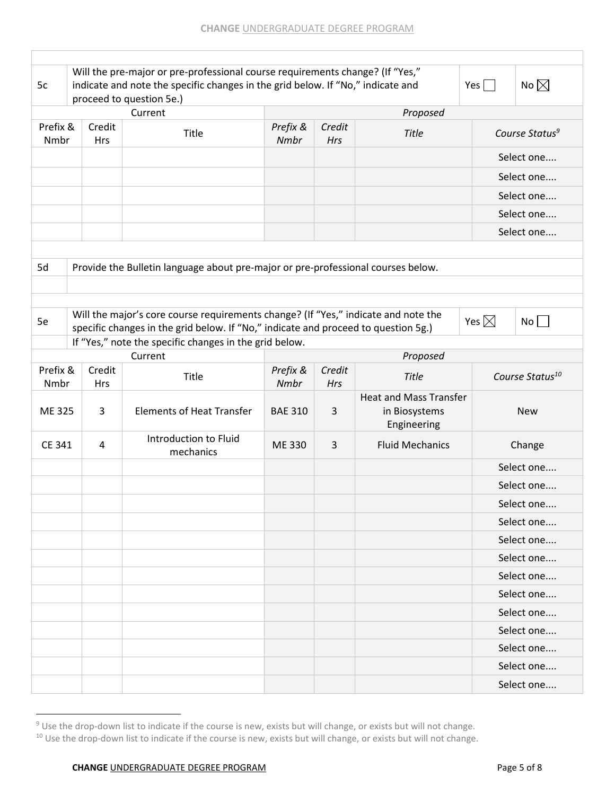| 5c               |                                                                                                                  | Will the pre-major or pre-professional course requirements change? (If "Yes,"<br>indicate and note the specific changes in the grid below. If "No," indicate and<br>proceed to question 5e.) |                  |                      |                                                | No $\boxtimes$<br>Yes $\Box$ |  |  |
|------------------|------------------------------------------------------------------------------------------------------------------|----------------------------------------------------------------------------------------------------------------------------------------------------------------------------------------------|------------------|----------------------|------------------------------------------------|------------------------------|--|--|
|                  |                                                                                                                  | Current                                                                                                                                                                                      |                  |                      | Proposed                                       |                              |  |  |
| Prefix &<br>Nmbr | Prefix &<br>Credit<br>Credit<br>Course Status <sup>9</sup><br>Title<br><b>Title</b><br>Nmbr<br>Hrs<br><b>Hrs</b> |                                                                                                                                                                                              |                  |                      |                                                |                              |  |  |
|                  |                                                                                                                  |                                                                                                                                                                                              |                  |                      |                                                | Select one                   |  |  |
|                  |                                                                                                                  |                                                                                                                                                                                              |                  |                      |                                                | Select one                   |  |  |
|                  |                                                                                                                  |                                                                                                                                                                                              |                  |                      |                                                | Select one                   |  |  |
|                  |                                                                                                                  |                                                                                                                                                                                              |                  |                      |                                                | Select one                   |  |  |
|                  |                                                                                                                  |                                                                                                                                                                                              |                  |                      |                                                | Select one                   |  |  |
|                  |                                                                                                                  |                                                                                                                                                                                              |                  |                      |                                                |                              |  |  |
| 5d               |                                                                                                                  | Provide the Bulletin language about pre-major or pre-professional courses below.                                                                                                             |                  |                      |                                                |                              |  |  |
|                  |                                                                                                                  |                                                                                                                                                                                              |                  |                      |                                                |                              |  |  |
|                  |                                                                                                                  |                                                                                                                                                                                              |                  |                      |                                                |                              |  |  |
| 5e               |                                                                                                                  | Will the major's core course requirements change? (If "Yes," indicate and note the<br>specific changes in the grid below. If "No," indicate and proceed to question 5g.)                     |                  |                      |                                                | Yes $\boxtimes$<br>No        |  |  |
|                  |                                                                                                                  | If "Yes," note the specific changes in the grid below.                                                                                                                                       |                  |                      |                                                |                              |  |  |
|                  |                                                                                                                  | Current                                                                                                                                                                                      |                  |                      | Proposed                                       |                              |  |  |
| Prefix &<br>Nmbr | Credit<br><b>Hrs</b>                                                                                             | <b>Title</b>                                                                                                                                                                                 | Prefix &<br>Nmbr | Credit<br><b>Hrs</b> | <b>Title</b>                                   | Course Status <sup>10</sup>  |  |  |
|                  |                                                                                                                  |                                                                                                                                                                                              |                  |                      |                                                | <b>New</b>                   |  |  |
| ME 325           | 3                                                                                                                | <b>Elements of Heat Transfer</b>                                                                                                                                                             | <b>BAE 310</b>   | 3                    | <b>Heat and Mass Transfer</b><br>in Biosystems |                              |  |  |
| CE 341           | 4                                                                                                                | Introduction to Fluid<br>mechanics                                                                                                                                                           | ME 330           | 3                    | Engineering<br><b>Fluid Mechanics</b>          | Change                       |  |  |
|                  |                                                                                                                  |                                                                                                                                                                                              |                  |                      |                                                | Select one                   |  |  |
|                  |                                                                                                                  |                                                                                                                                                                                              |                  |                      |                                                | Select one                   |  |  |
|                  |                                                                                                                  |                                                                                                                                                                                              |                  |                      |                                                | Select one                   |  |  |
|                  |                                                                                                                  |                                                                                                                                                                                              |                  |                      |                                                | Select one                   |  |  |
|                  |                                                                                                                  |                                                                                                                                                                                              |                  |                      |                                                | Select one                   |  |  |
|                  |                                                                                                                  |                                                                                                                                                                                              |                  |                      |                                                | Select one                   |  |  |
|                  |                                                                                                                  |                                                                                                                                                                                              |                  |                      |                                                | Select one                   |  |  |
|                  |                                                                                                                  |                                                                                                                                                                                              |                  |                      |                                                | Select one                   |  |  |
|                  |                                                                                                                  |                                                                                                                                                                                              |                  |                      |                                                | Select one                   |  |  |
|                  |                                                                                                                  |                                                                                                                                                                                              |                  |                      |                                                | Select one                   |  |  |
|                  |                                                                                                                  |                                                                                                                                                                                              |                  |                      |                                                | Select one                   |  |  |
|                  |                                                                                                                  |                                                                                                                                                                                              |                  |                      |                                                | Select one                   |  |  |

<sup>&</sup>lt;sup>9</sup> Use the drop-down list to indicate if the course is new, exists but will change, or exists but will not change.

<sup>&</sup>lt;sup>10</sup> Use the drop-down list to indicate if the course is new, exists but will change, or exists but will not change.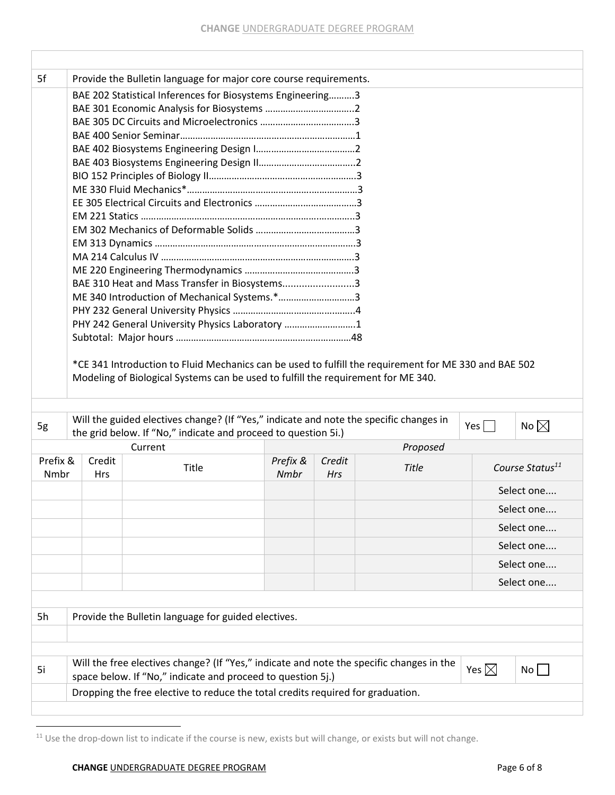| 5f       |            | Provide the Bulletin language for major core course requirements.                                                                              |          |        |              |                 |                             |
|----------|------------|------------------------------------------------------------------------------------------------------------------------------------------------|----------|--------|--------------|-----------------|-----------------------------|
|          |            | BAE 202 Statistical Inferences for Biosystems Engineering3                                                                                     |          |        |              |                 |                             |
|          |            |                                                                                                                                                |          |        |              |                 |                             |
|          |            |                                                                                                                                                |          |        |              |                 |                             |
|          |            |                                                                                                                                                |          |        |              |                 |                             |
|          |            |                                                                                                                                                |          |        |              |                 |                             |
|          |            |                                                                                                                                                |          |        |              |                 |                             |
|          |            |                                                                                                                                                |          |        |              |                 |                             |
|          |            |                                                                                                                                                |          |        |              |                 |                             |
|          |            |                                                                                                                                                |          |        |              |                 |                             |
|          |            |                                                                                                                                                |          |        |              |                 |                             |
|          |            |                                                                                                                                                |          |        |              |                 |                             |
|          |            |                                                                                                                                                |          |        |              |                 |                             |
|          |            |                                                                                                                                                |          |        |              |                 |                             |
|          |            |                                                                                                                                                |          |        |              |                 |                             |
|          |            | BAE 310 Heat and Mass Transfer in Biosystems3                                                                                                  |          |        |              |                 |                             |
|          |            | ME 340 Introduction of Mechanical Systems.*3                                                                                                   |          |        |              |                 |                             |
|          |            |                                                                                                                                                |          |        |              |                 |                             |
|          |            |                                                                                                                                                |          |        |              |                 |                             |
|          |            | PHY 242 General University Physics Laboratory 1                                                                                                |          |        |              |                 |                             |
|          |            |                                                                                                                                                |          |        |              |                 |                             |
|          |            |                                                                                                                                                |          |        |              |                 |                             |
|          |            | *CE 341 Introduction to Fluid Mechanics can be used to fulfill the requirement for ME 330 and BAE 502                                          |          |        |              |                 |                             |
|          |            | Modeling of Biological Systems can be used to fulfill the requirement for ME 340.                                                              |          |        |              |                 |                             |
|          |            |                                                                                                                                                |          |        |              |                 |                             |
|          |            |                                                                                                                                                |          |        |              |                 |                             |
| 5g       |            | Will the guided electives change? (If "Yes," indicate and note the specific changes in                                                         |          |        |              | Yes $\Box$      | No $\boxtimes$              |
|          |            | the grid below. If "No," indicate and proceed to question 5i.)<br>Current                                                                      |          |        | Proposed     |                 |                             |
| Prefix & | Credit     |                                                                                                                                                | Prefix & | Credit |              |                 |                             |
| Nmbr     | <b>Hrs</b> | Title                                                                                                                                          | Nmbr     | Hrs    | <b>Title</b> |                 | Course Status <sup>11</sup> |
|          |            |                                                                                                                                                |          |        |              |                 |                             |
|          |            |                                                                                                                                                |          |        |              |                 | Select one                  |
|          |            |                                                                                                                                                |          |        |              |                 | Select one                  |
|          |            |                                                                                                                                                |          |        |              |                 | Select one                  |
|          |            |                                                                                                                                                |          |        |              |                 | Select one                  |
|          |            |                                                                                                                                                |          |        |              |                 | Select one                  |
|          |            |                                                                                                                                                |          |        |              |                 | Select one                  |
|          |            |                                                                                                                                                |          |        |              |                 |                             |
| 5h       |            | Provide the Bulletin language for guided electives.                                                                                            |          |        |              |                 |                             |
|          |            |                                                                                                                                                |          |        |              |                 |                             |
|          |            |                                                                                                                                                |          |        |              |                 |                             |
|          |            |                                                                                                                                                |          |        |              |                 |                             |
| 5i       |            | Will the free electives change? (If "Yes," indicate and note the specific changes in the                                                       |          |        |              | Yes $\boxtimes$ | No                          |
|          |            | space below. If "No," indicate and proceed to question 5j.)<br>Dropping the free elective to reduce the total credits required for graduation. |          |        |              |                 |                             |

<sup>&</sup>lt;sup>11</sup> Use the drop-down list to indicate if the course is new, exists but will change, or exists but will not change.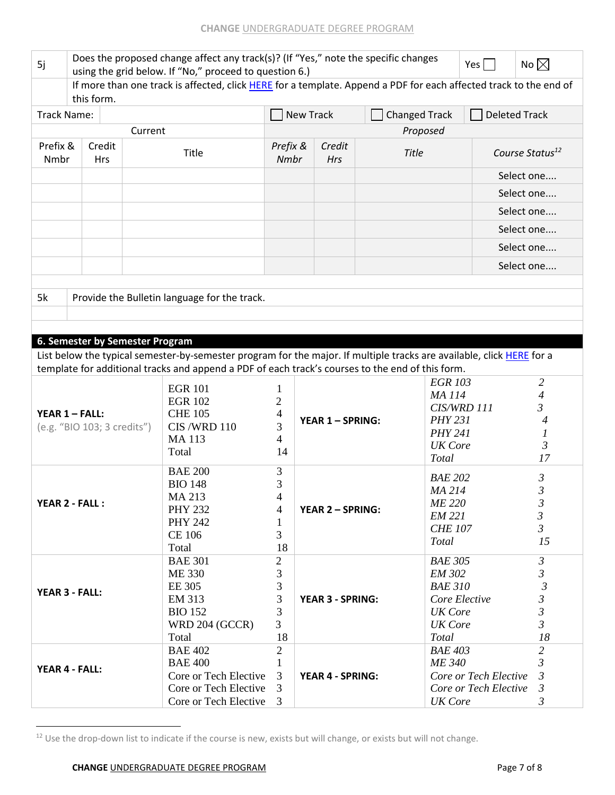| 5j                                       | Does the proposed change affect any track(s)? (If "Yes," note the specific changes<br>using the grid below. If "No," proceed to question 6.) |              | Yes                                                                                                                   | No $\boxtimes$       |                         |                      |                                |                             |                     |  |  |
|------------------------------------------|----------------------------------------------------------------------------------------------------------------------------------------------|--------------|-----------------------------------------------------------------------------------------------------------------------|----------------------|-------------------------|----------------------|--------------------------------|-----------------------------|---------------------|--|--|
|                                          | If more than one track is affected, click HERE for a template. Append a PDF for each affected track to the end of<br>this form.              |              |                                                                                                                       |                      |                         |                      |                                |                             |                     |  |  |
| Track Name:                              |                                                                                                                                              |              |                                                                                                                       |                      | <b>New Track</b>        | <b>Changed Track</b> |                                | <b>Deleted Track</b>        |                     |  |  |
|                                          |                                                                                                                                              | Current      |                                                                                                                       |                      |                         | Proposed             |                                |                             |                     |  |  |
| Prefix &<br>Credit<br>Nmbr<br><b>Hrs</b> |                                                                                                                                              | <b>Title</b> | Prefix &<br>Nmbr                                                                                                      | Credit<br>Hrs        | <b>Title</b>            |                      |                                | Course Status <sup>12</sup> |                     |  |  |
|                                          |                                                                                                                                              |              |                                                                                                                       |                      |                         |                      |                                |                             | Select one          |  |  |
|                                          |                                                                                                                                              |              |                                                                                                                       |                      |                         |                      |                                |                             | Select one          |  |  |
|                                          |                                                                                                                                              |              |                                                                                                                       |                      |                         |                      |                                |                             | Select one          |  |  |
|                                          |                                                                                                                                              |              |                                                                                                                       |                      |                         |                      |                                |                             | Select one          |  |  |
|                                          |                                                                                                                                              |              |                                                                                                                       |                      |                         |                      |                                |                             | Select one          |  |  |
|                                          |                                                                                                                                              |              |                                                                                                                       |                      |                         |                      |                                |                             | Select one          |  |  |
| 5k                                       |                                                                                                                                              |              | Provide the Bulletin language for the track.                                                                          |                      |                         |                      |                                |                             |                     |  |  |
|                                          |                                                                                                                                              |              |                                                                                                                       |                      |                         |                      |                                |                             |                     |  |  |
|                                          |                                                                                                                                              |              |                                                                                                                       |                      |                         |                      |                                |                             |                     |  |  |
|                                          | 6. Semester by Semester Program                                                                                                              |              |                                                                                                                       |                      |                         |                      |                                |                             |                     |  |  |
|                                          |                                                                                                                                              |              | List below the typical semester-by-semester program for the major. If multiple tracks are available, click HERE for a |                      |                         |                      |                                |                             |                     |  |  |
|                                          |                                                                                                                                              |              | template for additional tracks and append a PDF of each track's courses to the end of this form.                      |                      |                         |                      |                                |                             |                     |  |  |
|                                          |                                                                                                                                              |              | <b>EGR 101</b>                                                                                                        | 1                    |                         |                      | <b>EGR 103</b><br><b>MA114</b> |                             | $\overline{2}$<br>4 |  |  |
|                                          |                                                                                                                                              |              | <b>EGR 102</b>                                                                                                        | 2                    |                         | CIS/WRD 111          |                                |                             | $\mathfrak{Z}$      |  |  |
|                                          | <b>YEAR 1 - FALL:</b>                                                                                                                        |              | <b>CHE 105</b>                                                                                                        | 4                    | <b>YEAR 1-SPRING:</b>   |                      | <b>PHY 231</b>                 |                             | 4                   |  |  |
|                                          | (e.g. "BIO 103; 3 credits")                                                                                                                  |              | CIS/WRD 110                                                                                                           | 3                    |                         |                      | <b>PHY 241</b>                 |                             | 1                   |  |  |
|                                          |                                                                                                                                              |              | <b>MA113</b>                                                                                                          | 4                    |                         |                      | <b>UK</b> Core                 |                             | $\mathfrak{Z}$      |  |  |
|                                          |                                                                                                                                              |              | Total                                                                                                                 | 14                   |                         |                      | <b>Total</b>                   |                             | 17                  |  |  |
|                                          |                                                                                                                                              |              | <b>BAE 200</b>                                                                                                        | 3                    |                         |                      | <b>BAE 202</b>                 |                             | $\mathfrak{Z}$      |  |  |
|                                          |                                                                                                                                              |              | <b>BIO 148</b>                                                                                                        | 3                    |                         |                      | MA 214                         |                             | 3                   |  |  |
|                                          | <b>YEAR 2 - FALL:</b>                                                                                                                        |              | MA 213                                                                                                                | 4                    |                         |                      | <b>ME 220</b>                  |                             | $\mathfrak{Z}$      |  |  |
|                                          |                                                                                                                                              |              | <b>PHY 232</b>                                                                                                        | 4                    | <b>YEAR 2 - SPRING:</b> |                      | <i>EM 221</i>                  |                             | $\mathfrak{Z}$      |  |  |
|                                          |                                                                                                                                              |              | <b>PHY 242</b>                                                                                                        | 1                    |                         |                      | <b>CHE 107</b>                 |                             | $\mathfrak{Z}$      |  |  |
|                                          |                                                                                                                                              |              | <b>CE 106</b>                                                                                                         | 3                    |                         |                      | Total                          |                             | 15                  |  |  |
|                                          |                                                                                                                                              |              | Total<br><b>BAE 301</b>                                                                                               | 18<br>$\overline{2}$ |                         |                      | <b>BAE 305</b>                 |                             | $\mathfrak{Z}$      |  |  |
|                                          |                                                                                                                                              |              | <b>ME 330</b>                                                                                                         | 3                    |                         |                      | <b>EM 302</b>                  |                             | $\mathfrak{Z}$      |  |  |
|                                          |                                                                                                                                              |              | EE 305                                                                                                                | 3                    |                         |                      | <b>BAE 310</b>                 |                             | $\mathfrak{Z}$      |  |  |
|                                          | YEAR 3 - FALL:                                                                                                                               |              | EM 313                                                                                                                | 3                    | <b>YEAR 3 - SPRING:</b> |                      | Core Elective                  |                             | 3                   |  |  |
|                                          |                                                                                                                                              |              | <b>BIO 152</b>                                                                                                        | 3                    |                         |                      | <b>UK</b> Core                 |                             | $\mathfrak{Z}$      |  |  |
|                                          |                                                                                                                                              |              | WRD 204 (GCCR)                                                                                                        | 3                    |                         |                      | <b>UK</b> Core                 |                             | $\mathfrak{Z}$      |  |  |
|                                          |                                                                                                                                              |              | Total                                                                                                                 | 18                   |                         |                      | <b>Total</b>                   |                             | 18                  |  |  |
|                                          |                                                                                                                                              |              | <b>BAE 402</b>                                                                                                        | $\overline{2}$       |                         |                      | <b>BAE 403</b>                 |                             | $\overline{2}$      |  |  |
|                                          |                                                                                                                                              |              | <b>BAE 400</b>                                                                                                        | 1                    |                         |                      | <b>ME 340</b>                  |                             | 3                   |  |  |
|                                          | YEAR 4 - FALL:                                                                                                                               |              | Core or Tech Elective                                                                                                 | 3                    | <b>YEAR 4 - SPRING:</b> |                      |                                | Core or Tech Elective       | 3                   |  |  |
|                                          |                                                                                                                                              |              | Core or Tech Elective                                                                                                 | 3                    |                         |                      |                                | Core or Tech Elective       | $\mathfrak{Z}$      |  |  |
|                                          |                                                                                                                                              |              | Core or Tech Elective                                                                                                 | 3                    |                         |                      | <b>UK</b> Core                 |                             | 3                   |  |  |

<sup>&</sup>lt;sup>12</sup> Use the drop-down list to indicate if the course is new, exists but will change, or exists but will not change.